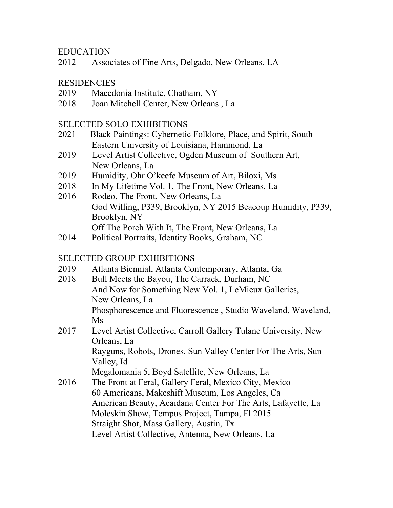## EDUCATION

2012 Associates of Fine Arts, Delgado, New Orleans, LA

## **RESIDENCIES**

- 2019 Macedonia Institute, Chatham, NY
- 2018 Joan Mitchell Center, New Orleans , La

## SELECTED SOLO EXHIBITIONS

- 2021 Black Paintings: Cybernetic Folklore, Place, and Spirit, South Eastern University of Louisiana, Hammond, La
- 2019 Level Artist Collective, Ogden Museum of Southern Art, New Orleans, La
- 2019 Humidity, Ohr O'keefe Museum of Art, Biloxi, Ms
- 2018 In My Lifetime Vol. 1, The Front, New Orleans, La
- 2016 Rodeo, The Front, New Orleans, La God Willing, P339, Brooklyn, NY 2015 Beacoup Humidity, P339, Brooklyn, NY Off The Porch With It, The Front, New Orleans, La
- 2014 Political Portraits, Identity Books, Graham, NC

## SELECTED GROUP EXHIBITIONS

- 2019 Atlanta Biennial, Atlanta Contemporary, Atlanta, Ga
- 2018 Bull Meets the Bayou, The Carrack, Durham, NC And Now for Something New Vol. 1, LeMieux Galleries, New Orleans, La Phosphorescence and Fluorescence , Studio Waveland, Waveland, Ms
- 2017 Level Artist Collective, Carroll Gallery Tulane University, New Orleans, La Rayguns, Robots, Drones, Sun Valley Center For The Arts, Sun Valley, Id Megalomania 5, Boyd Satellite, New Orleans, La
- 2016 The Front at Feral, Gallery Feral, Mexico City, Mexico 60 Americans, Makeshift Museum, Los Angeles, Ca American Beauty, Acaidana Center For The Arts, Lafayette, La Moleskin Show, Tempus Project, Tampa, Fl 2015 Straight Shot, Mass Gallery, Austin, Tx Level Artist Collective, Antenna, New Orleans, La